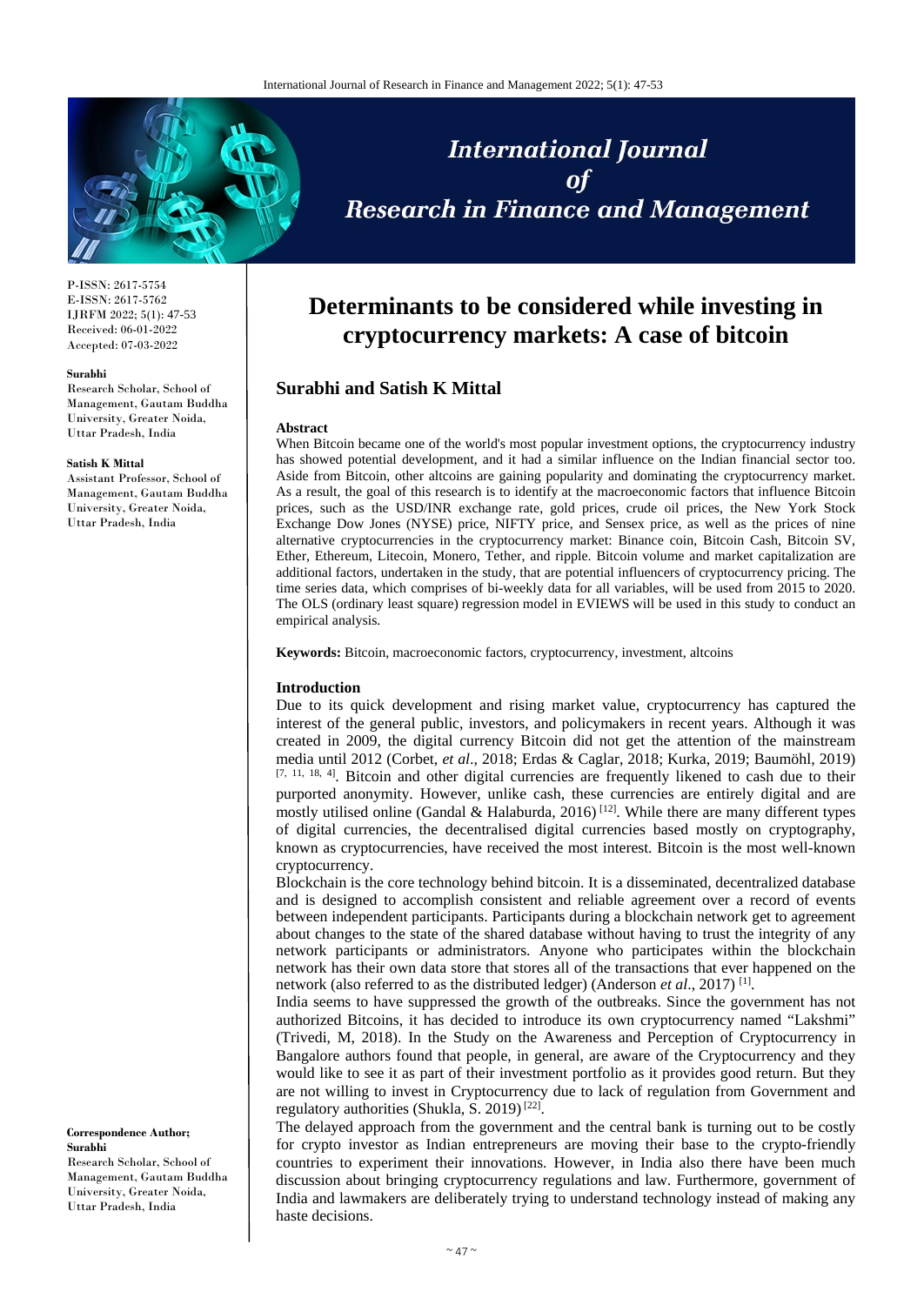

P-ISSN: 2617-5754 E-ISSN: 2617-5762 IJRFM 2022; 5(1): 47-53 Received: 06-01-2022 Accepted: 07-03-2022

#### **Surabhi**

Research Scholar, School of Management, Gautam Buddha University, Greater Noida, Uttar Pradesh, India

#### **Satish K Mittal**

Assistant Professor, School of Management, Gautam Buddha University, Greater Noida, Uttar Pradesh, India

#### **Correspondence Author; Surabhi**

Research Scholar, School of Management, Gautam Buddha University, Greater Noida, Uttar Pradesh, India

# **International Journal Research in Finance and Management**

## **Determinants to be considered while investing in cryptocurrency markets: A case of bitcoin**

### **Surabhi and Satish K Mittal**

#### **Abstract**

When Bitcoin became one of the world's most popular investment options, the cryptocurrency industry has showed potential development, and it had a similar influence on the Indian financial sector too. Aside from Bitcoin, other altcoins are gaining popularity and dominating the cryptocurrency market. As a result, the goal of this research is to identify at the macroeconomic factors that influence Bitcoin prices, such as the USD/INR exchange rate, gold prices, crude oil prices, the New York Stock Exchange Dow Jones (NYSE) price, NIFTY price, and Sensex price, as well as the prices of nine alternative cryptocurrencies in the cryptocurrency market: Binance coin, Bitcoin Cash, Bitcoin SV, Ether, Ethereum, Litecoin, Monero, Tether, and ripple. Bitcoin volume and market capitalization are additional factors, undertaken in the study, that are potential influencers of cryptocurrency pricing. The time series data, which comprises of bi-weekly data for all variables, will be used from 2015 to 2020. The OLS (ordinary least square) regression model in EVIEWS will be used in this study to conduct an empirical analysis.

**Keywords:** Bitcoin, macroeconomic factors, cryptocurrency, investment, altcoins

#### **Introduction**

Due to its quick development and rising market value, cryptocurrency has captured the interest of the general public, investors, and policymakers in recent years. Although it was created in 2009, the digital currency Bitcoin did not get the attention of the mainstream media until 2012 (Corbet, *et al*., 2018; Erdas & Caglar, 2018; Kurka, 2019; Baumöhl, 2019) [7, 11, 18, 4]. Bitcoin and other digital currencies are frequently likened to cash due to their purported anonymity. However, unlike cash, these currencies are entirely digital and are mostly utilised online (Gandal & Halaburda, 2016)<sup>[12]</sup>. While there are many different types of digital currencies, the decentralised digital currencies based mostly on cryptography, known as cryptocurrencies, have received the most interest. Bitcoin is the most well-known cryptocurrency.

Blockchain is the core technology behind bitcoin. It is a disseminated, decentralized database and is designed to accomplish consistent and reliable agreement over a record of events between independent participants. Participants during a blockchain network get to agreement about changes to the state of the shared database without having to trust the integrity of any network participants or administrators. Anyone who participates within the blockchain network has their own data store that stores all of the transactions that ever happened on the network (also referred to as the distributed ledger) (Anderson *et al.*, 2017)<sup>[1]</sup>.

India seems to have suppressed the growth of the outbreaks. Since the government has not authorized Bitcoins, it has decided to introduce its own cryptocurrency named "Lakshmi" (Trivedi, M, 2018). In the Study on the Awareness and Perception of Cryptocurrency in Bangalore authors found that people, in general, are aware of the Cryptocurrency and they would like to see it as part of their investment portfolio as it provides good return. But they are not willing to invest in Cryptocurrency due to lack of regulation from Government and regulatory authorities (Shukla, S. 2019)<sup>[22]</sup>.

The delayed approach from the government and the central bank is turning out to be costly for crypto investor as Indian entrepreneurs are moving their base to the crypto-friendly countries to experiment their innovations. However, in India also there have been much discussion about bringing cryptocurrency regulations and law. Furthermore, government of India and lawmakers are deliberately trying to understand technology instead of making any haste decisions.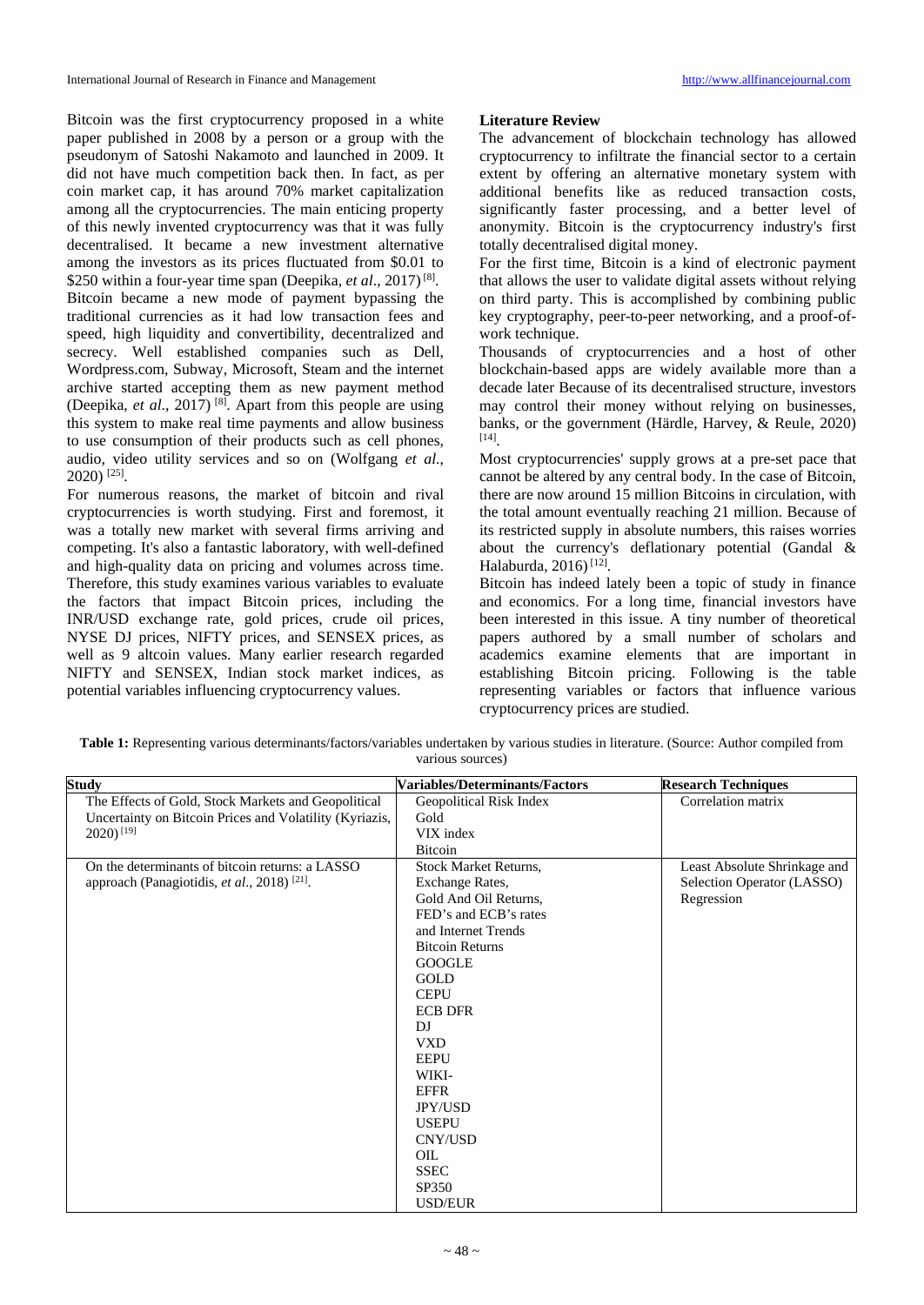Bitcoin was the first cryptocurrency proposed in a white paper published in 2008 by a person or a group with the pseudonym of Satoshi Nakamoto and launched in 2009. It did not have much competition back then. In fact, as per coin market cap, it has around 70% market capitalization among all the cryptocurrencies. The main enticing property of this newly invented cryptocurrency was that it was fully decentralised. It became a new investment alternative among the investors as its prices fluctuated from \$0.01 to \$250 within a four-year time span (Deepika, *et al.*, 2017)<sup>[8]</sup>. Bitcoin became a new mode of payment bypassing the traditional currencies as it had low transaction fees and speed, high liquidity and convertibility, decentralized and secrecy. Well established companies such as Dell, Wordpress.com, Subway, Microsoft, Steam and the internet archive started accepting them as new payment method (Deepika, *et al*., 2017) [8] . Apart from this people are using this system to make real time payments and allow business to use consumption of their products such as cell phones, audio, video utility services and so on (Wolfgang *et al*., 2020) [25] .

For numerous reasons, the market of bitcoin and rival cryptocurrencies is worth studying. First and foremost, it was a totally new market with several firms arriving and competing. It's also a fantastic laboratory, with well-defined and high-quality data on pricing and volumes across time. Therefore, this study examines various variables to evaluate the factors that impact Bitcoin prices, including the INR/USD exchange rate, gold prices, crude oil prices, NYSE DJ prices, NIFTY prices, and SENSEX prices, as well as 9 altcoin values. Many earlier research regarded NIFTY and SENSEX, Indian stock market indices, as potential variables influencing cryptocurrency values.

#### **Literature Review**

The advancement of blockchain technology has allowed cryptocurrency to infiltrate the financial sector to a certain extent by offering an alternative monetary system with additional benefits like as reduced transaction costs, significantly faster processing, and a better level of anonymity. Bitcoin is the cryptocurrency industry's first totally decentralised digital money.

For the first time, Bitcoin is a kind of electronic payment that allows the user to validate digital assets without relying on third party. This is accomplished by combining public key cryptography, peer-to-peer networking, and a proof-ofwork technique.

Thousands of cryptocurrencies and a host of other blockchain-based apps are widely available more than a decade later Because of its decentralised structure, investors may control their money without relying on businesses, banks, or the government (Härdle, Harvey, & Reule, 2020) [14] .

Most cryptocurrencies' supply grows at a pre-set pace that cannot be altered by any central body. In the case of Bitcoin, there are now around 15 million Bitcoins in circulation, with the total amount eventually reaching 21 million. Because of its restricted supply in absolute numbers, this raises worries about the currency's deflationary potential (Gandal & Halaburda, 2016)<sup>[12]</sup>.

Bitcoin has indeed lately been a topic of study in finance and economics. For a long time, financial investors have been interested in this issue. A tiny number of theoretical papers authored by a small number of scholars and academics examine elements that are important in establishing Bitcoin pricing. Following is the table representing variables or factors that influence various cryptocurrency prices are studied.

| <b>Study</b>                                            | Variables/Determinants/Factors | <b>Research Techniques</b>   |
|---------------------------------------------------------|--------------------------------|------------------------------|
| The Effects of Gold, Stock Markets and Geopolitical     | Geopolitical Risk Index        | Correlation matrix           |
| Uncertainty on Bitcoin Prices and Volatility (Kyriazis, | Gold                           |                              |
| $2020$ ) <sup>[19]</sup>                                | VIX index                      |                              |
|                                                         | <b>Bitcoin</b>                 |                              |
| On the determinants of bitcoin returns: a LASSO         | <b>Stock Market Returns,</b>   | Least Absolute Shrinkage and |
| approach (Panagiotidis, et al., 2018) <sup>[21]</sup> . | Exchange Rates,                | Selection Operator (LASSO)   |
|                                                         | Gold And Oil Returns,          | Regression                   |
|                                                         | FED's and ECB's rates          |                              |
|                                                         | and Internet Trends            |                              |
|                                                         | <b>Bitcoin Returns</b>         |                              |
|                                                         | <b>GOOGLE</b>                  |                              |
|                                                         | GOLD                           |                              |
|                                                         | <b>CEPU</b>                    |                              |
|                                                         | <b>ECB DFR</b>                 |                              |
|                                                         | DI                             |                              |
|                                                         | <b>VXD</b>                     |                              |
|                                                         | <b>EEPU</b>                    |                              |
|                                                         | WIKI-                          |                              |
|                                                         | <b>EFFR</b>                    |                              |
|                                                         | <b>JPY/USD</b>                 |                              |
|                                                         | <b>USEPU</b>                   |                              |
|                                                         | CNY/USD                        |                              |
|                                                         | <b>OIL</b>                     |                              |
|                                                         | <b>SSEC</b>                    |                              |
|                                                         | SP350                          |                              |
|                                                         | <b>USD/EUR</b>                 |                              |

**Table 1:** Representing various determinants/factors/variables undertaken by various studies in literature. (Source: Author compiled from various sources)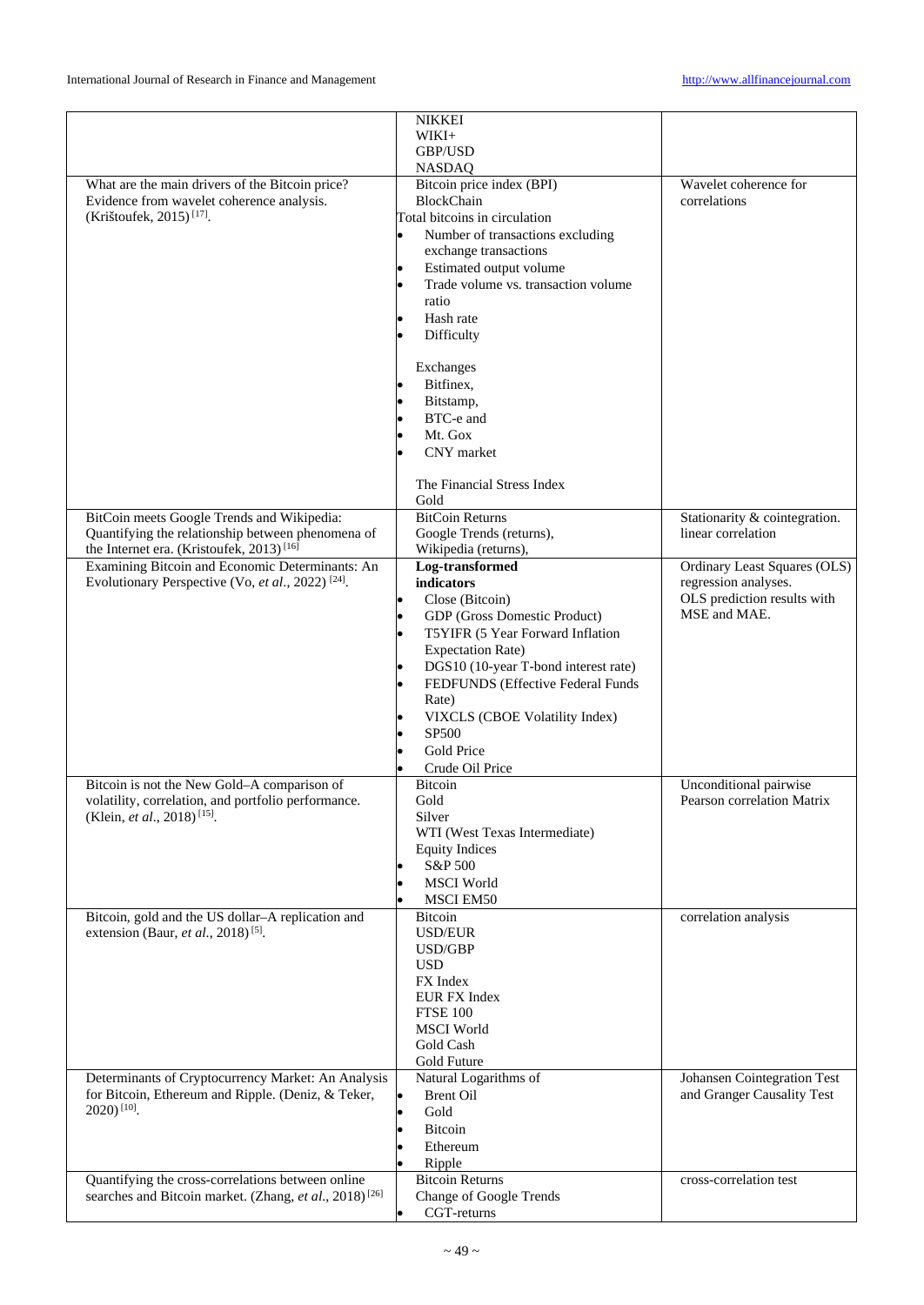|                                                                    | <b>NIKKEI</b>                        |                               |
|--------------------------------------------------------------------|--------------------------------------|-------------------------------|
|                                                                    | WIKI+                                |                               |
|                                                                    | <b>GBP/USD</b>                       |                               |
|                                                                    | <b>NASDAQ</b>                        |                               |
| What are the main drivers of the Bitcoin price?                    | Bitcoin price index (BPI)            | Wavelet coherence for         |
| Evidence from wavelet coherence analysis.                          | <b>BlockChain</b>                    | correlations                  |
|                                                                    |                                      |                               |
| (Krištoufek, 2015) <sup>[17]</sup> .                               | Total bitcoins in circulation        |                               |
|                                                                    | Number of transactions excluding     |                               |
|                                                                    | exchange transactions                |                               |
|                                                                    | Estimated output volume              |                               |
|                                                                    |                                      |                               |
|                                                                    | Trade volume vs. transaction volume  |                               |
|                                                                    | ratio                                |                               |
|                                                                    | Hash rate                            |                               |
|                                                                    | Difficulty                           |                               |
|                                                                    |                                      |                               |
|                                                                    |                                      |                               |
|                                                                    | Exchanges                            |                               |
|                                                                    | Bitfinex.                            |                               |
|                                                                    | Bitstamp,                            |                               |
|                                                                    | BTC-e and                            |                               |
|                                                                    |                                      |                               |
|                                                                    | Mt. Gox                              |                               |
|                                                                    | CNY market                           |                               |
|                                                                    |                                      |                               |
|                                                                    | The Financial Stress Index           |                               |
|                                                                    | Gold                                 |                               |
| BitCoin meets Google Trends and Wikipedia:                         | <b>BitCoin Returns</b>               | Stationarity & cointegration. |
|                                                                    |                                      |                               |
| Quantifying the relationship between phenomena of                  | Google Trends (returns),             | linear correlation            |
| the Internet era. (Kristoufek, 2013) <sup>[16]</sup>               | Wikipedia (returns),                 |                               |
| Examining Bitcoin and Economic Determinants: An                    | Log-transformed                      | Ordinary Least Squares (OLS)  |
| Evolutionary Perspective (Vo, et al., 2022) <sup>[24]</sup> .      | indicators                           | regression analyses.          |
|                                                                    |                                      | OLS prediction results with   |
|                                                                    | Close (Bitcoin)                      |                               |
|                                                                    | GDP (Gross Domestic Product)         | MSE and MAE.                  |
|                                                                    | T5YIFR (5 Year Forward Inflation     |                               |
|                                                                    | <b>Expectation Rate)</b>             |                               |
|                                                                    | DGS10 (10-year T-bond interest rate) |                               |
|                                                                    |                                      |                               |
|                                                                    | FEDFUNDS (Effective Federal Funds    |                               |
|                                                                    | Rate)                                |                               |
|                                                                    | VIXCLS (CBOE Volatility Index)       |                               |
|                                                                    | SP500                                |                               |
|                                                                    |                                      |                               |
|                                                                    | Gold Price                           |                               |
|                                                                    | Crude Oil Price                      |                               |
| Bitcoin is not the New Gold-A comparison of                        | <b>Bitcoin</b>                       | Unconditional pairwise        |
| volatility, correlation, and portfolio performance.                | Gold                                 | Pearson correlation Matrix    |
| (Klein, et al., 2018) <sup>[15]</sup> .                            | Silver                               |                               |
|                                                                    |                                      |                               |
|                                                                    | WTI (West Texas Intermediate)        |                               |
|                                                                    | <b>Equity Indices</b>                |                               |
|                                                                    | S&P 500                              |                               |
|                                                                    | <b>MSCI</b> World                    |                               |
|                                                                    |                                      |                               |
|                                                                    | <b>MSCI EM50</b>                     |                               |
| Bitcoin, gold and the US dollar-A replication and                  | Bitcoin                              | correlation analysis          |
| extension (Baur, et al., 2018) <sup>[5]</sup> .                    | <b>USD/EUR</b>                       |                               |
|                                                                    | USD/GBP                              |                               |
|                                                                    | <b>USD</b>                           |                               |
|                                                                    | FX Index                             |                               |
|                                                                    |                                      |                               |
|                                                                    | <b>EUR FX Index</b>                  |                               |
|                                                                    | <b>FTSE 100</b>                      |                               |
|                                                                    | <b>MSCI</b> World                    |                               |
|                                                                    | Gold Cash                            |                               |
|                                                                    | Gold Future                          |                               |
| Determinants of Cryptocurrency Market: An Analysis                 | Natural Logarithms of                | Johansen Cointegration Test   |
| for Bitcoin, Ethereum and Ripple. (Deniz, & Teker,                 | l.                                   | and Granger Causality Test    |
|                                                                    | <b>Brent Oil</b>                     |                               |
| $2020$ ) <sup>[10]</sup> .                                         | Gold                                 |                               |
|                                                                    | Bitcoin                              |                               |
|                                                                    | Ethereum                             |                               |
|                                                                    |                                      |                               |
|                                                                    | Ripple                               |                               |
| Quantifying the cross-correlations between online                  | <b>Bitcoin Returns</b>               | cross-correlation test        |
| searches and Bitcoin market. (Zhang, et al., 2018) <sup>[26]</sup> | <b>Change of Google Trends</b>       |                               |
|                                                                    | CGT-returns                          |                               |
|                                                                    |                                      |                               |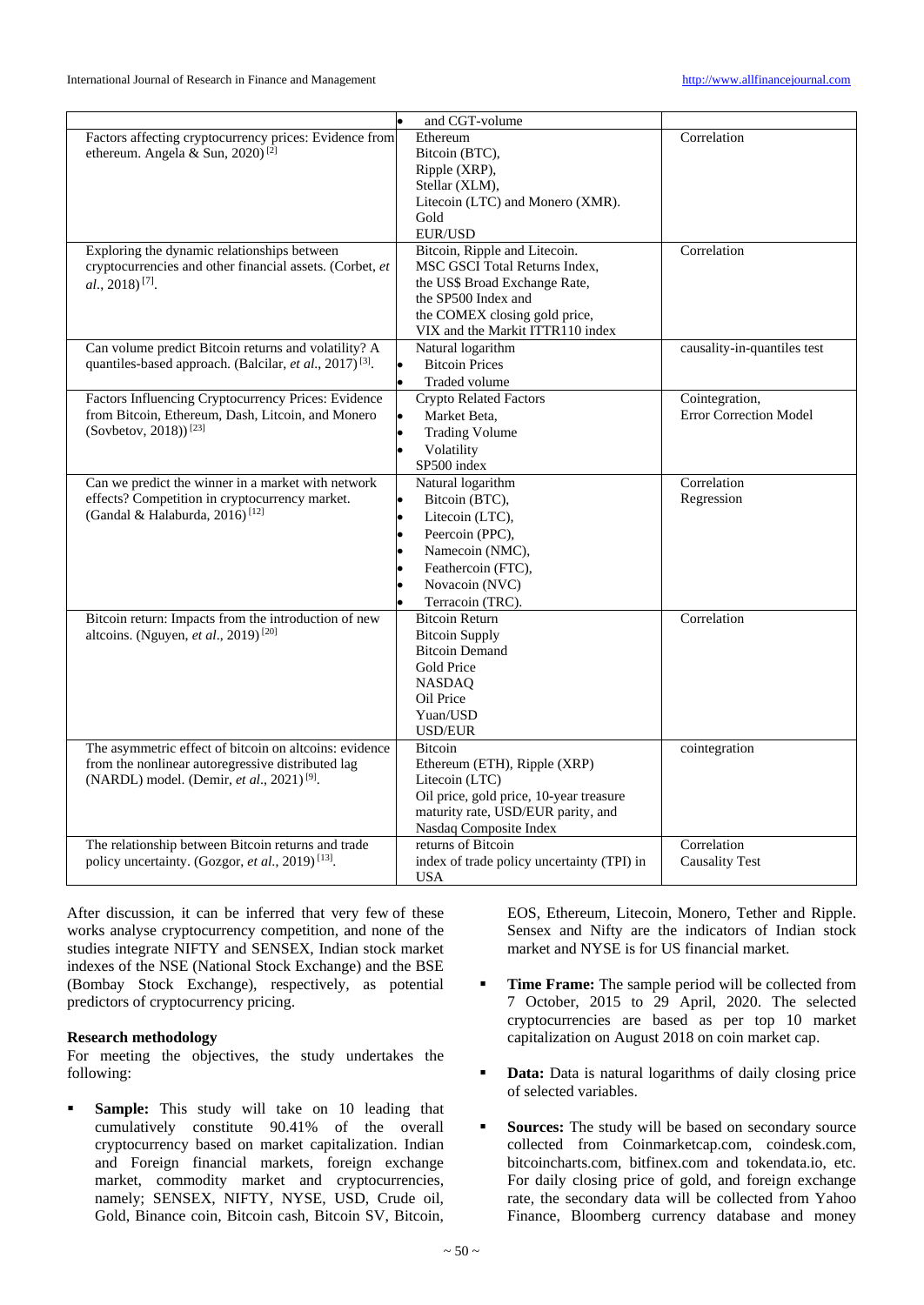|                                                                                                                                                                      | and CGT-volume                                                                                                                                                                              |                                                 |
|----------------------------------------------------------------------------------------------------------------------------------------------------------------------|---------------------------------------------------------------------------------------------------------------------------------------------------------------------------------------------|-------------------------------------------------|
| Factors affecting cryptocurrency prices: Evidence from<br>ethereum. Angela & Sun, 2020) <sup>[2]</sup>                                                               | Ethereum<br>Bitcoin (BTC),<br>Ripple (XRP),<br>Stellar (XLM),<br>Litecoin (LTC) and Monero (XMR).                                                                                           | Correlation                                     |
|                                                                                                                                                                      | Gold<br><b>EUR/USD</b>                                                                                                                                                                      |                                                 |
| Exploring the dynamic relationships between<br>cryptocurrencies and other financial assets. (Corbet, et<br>$al., 2018$ <sup>[7]</sup> .                              | Bitcoin, Ripple and Litecoin.<br>MSC GSCI Total Returns Index,<br>the US\$ Broad Exchange Rate,<br>the SP500 Index and<br>the COMEX closing gold price,<br>VIX and the Markit ITTR110 index | Correlation                                     |
| Can volume predict Bitcoin returns and volatility? A<br>quantiles-based approach. (Balcilar, et al., 2017) <sup>[3]</sup> .                                          | Natural logarithm<br><b>Bitcoin Prices</b><br>$\bullet$<br>Traded volume                                                                                                                    | causality-in-quantiles test                     |
| Factors Influencing Cryptocurrency Prices: Evidence<br>from Bitcoin, Ethereum, Dash, Litcoin, and Monero<br>(Sovbetov, 2018)) <sup>[23]</sup>                        | <b>Crypto Related Factors</b><br>Market Beta,<br><b>Trading Volume</b><br>Volatility<br>SP500 index                                                                                         | Cointegration,<br><b>Error Correction Model</b> |
| Can we predict the winner in a market with network<br>effects? Competition in cryptocurrency market.<br>(Gandal & Halaburda, 2016) <sup>[12]</sup>                   | Natural logarithm<br>Bitcoin (BTC),<br>Litecoin (LTC),<br>Peercoin (PPC),<br>Namecoin (NMC),<br>Feathercoin (FTC),<br>Novacoin (NVC)<br>Terracoin (TRC).                                    | Correlation<br>Regression                       |
| Bitcoin return: Impacts from the introduction of new<br>altcoins. (Nguyen, et al., 2019) <sup>[20]</sup>                                                             | <b>Bitcoin Return</b><br><b>Bitcoin Supply</b><br><b>Bitcoin Demand</b><br>Gold Price<br><b>NASDAO</b><br>Oil Price<br>Yuan/USD<br><b>USD/EUR</b>                                           | Correlation                                     |
| The asymmetric effect of bitcoin on altcoins: evidence<br>from the nonlinear autoregressive distributed lag<br>(NARDL) model. (Demir, et al., 2021) <sup>[9]</sup> . | <b>Bitcoin</b><br>Ethereum (ETH), Ripple (XRP)<br>Litecoin (LTC)<br>Oil price, gold price, 10-year treasure<br>maturity rate, USD/EUR parity, and<br>Nasdaq Composite Index                 | cointegration                                   |
| The relationship between Bitcoin returns and trade<br>policy uncertainty. (Gozgor, et al., 2019) <sup>[13]</sup> .                                                   | returns of Bitcoin<br>index of trade policy uncertainty (TPI) in<br><b>USA</b>                                                                                                              | Correlation<br><b>Causality Test</b>            |

After discussion, it can be inferred that very few of these works analyse cryptocurrency competition, and none of the studies integrate NIFTY and SENSEX, Indian stock market indexes of the NSE (National Stock Exchange) and the BSE (Bombay Stock Exchange), respectively, as potential predictors of cryptocurrency pricing.

#### **Research methodology**

For meeting the objectives, the study undertakes the following:

**Sample:** This study will take on 10 leading that cumulatively constitute 90.41% of the overall cryptocurrency based on market capitalization. Indian and Foreign financial markets, foreign exchange market, commodity market and cryptocurrencies, namely; SENSEX, NIFTY, NYSE, USD, Crude oil, Gold, Binance coin, Bitcoin cash, Bitcoin SV, Bitcoin,

EOS, Ethereum, Litecoin, Monero, Tether and Ripple. Sensex and Nifty are the indicators of Indian stock market and NYSE is for US financial market.

- **Time Frame:** The sample period will be collected from 7 October, 2015 to 29 April, 2020. The selected cryptocurrencies are based as per top 10 market capitalization on August 2018 on coin market cap.
- **Data:** Data is natural logarithms of daily closing price of selected variables.
- **Sources:** The study will be based on secondary source collected from Coinmarketcap.com, coindesk.com, bitcoincharts.com, bitfinex.com and tokendata.io, etc. For daily closing price of gold, and foreign exchange rate, the secondary data will be collected from Yahoo Finance, Bloomberg currency database and money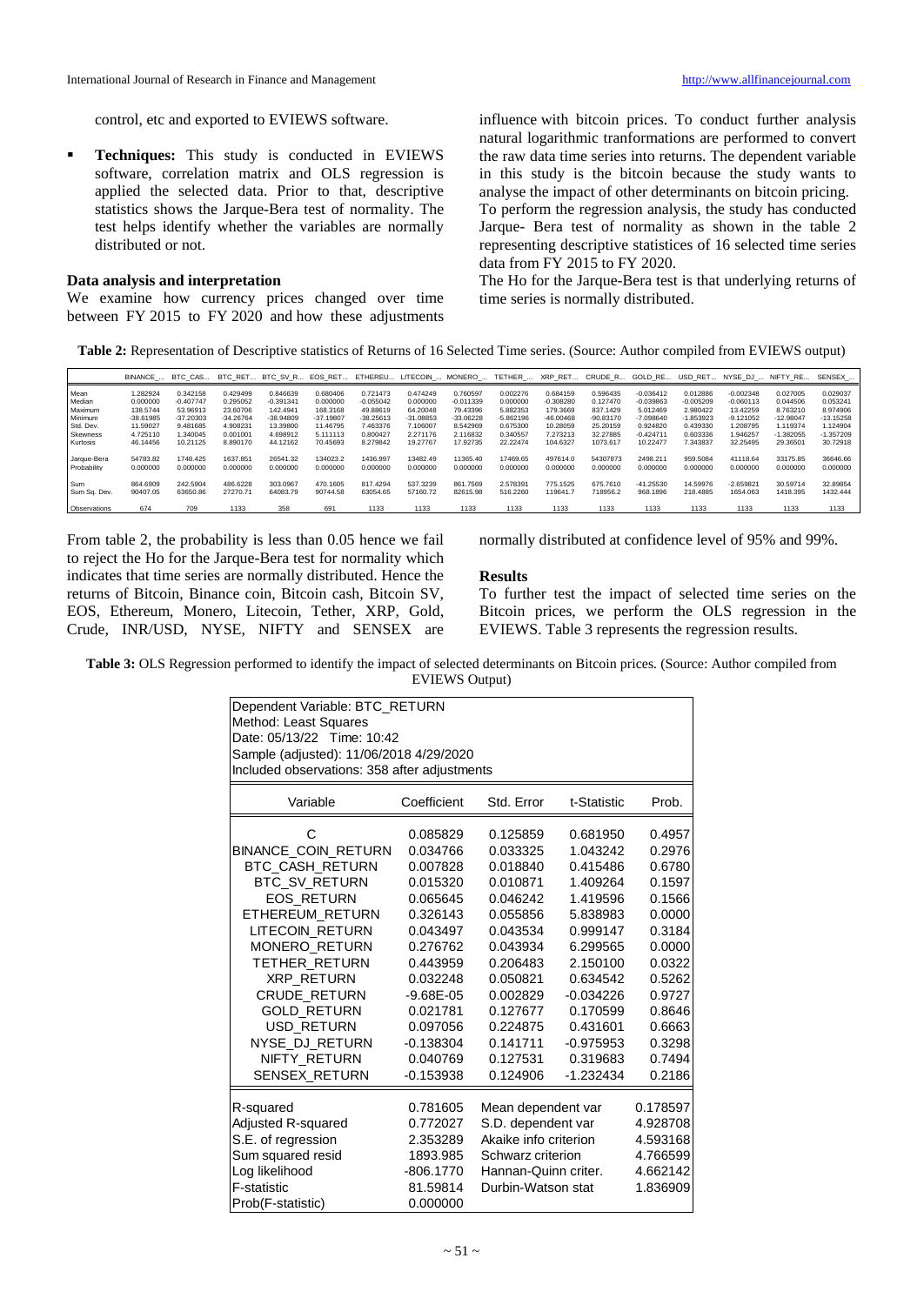control, etc and exported to EVIEWS software.

**Techniques:** This study is conducted in EVIEWS software, correlation matrix and OLS regression is applied the selected data. Prior to that, descriptive statistics shows the Jarque-Bera test of normality. The test helps identify whether the variables are normally distributed or not.

#### **Data analysis and interpretation**

We examine how currency prices changed over time between FY 2015 to FY 2020 and how these adjustments

influence with bitcoin prices. To conduct further analysis natural logarithmic tranformations are performed to convert the raw data time series into returns. The dependent variable in this study is the bitcoin because the study wants to analyse the impact of other determinants on bitcoin pricing. To perform the regression analysis, the study has conducted Jarque- Bera test of normality as shown in the table 2 representing descriptive statistices of 16 selected time series data from FY 2015 to FY 2020.

The Ho for the Jarque-Bera test is that underlying returns of time series is normally distributed.

**Table 2:** Representation of Descriptive statistics of Returns of 16 Selected Time series. (Source: Author compiled from EVIEWS output)

|                            | BINANCE              | BTC CAS              | BTC RET              | BTC SV R EOS RET     |                      |                      |                      | ETHEREU LITECOIN  MONERO | TETHER               | XRP RET              | CRUDE R              | GOLD RE                 | <b>USD</b>           | RET NYSE DJ             | NIFTY RE             | SENSEX               |
|----------------------------|----------------------|----------------------|----------------------|----------------------|----------------------|----------------------|----------------------|--------------------------|----------------------|----------------------|----------------------|-------------------------|----------------------|-------------------------|----------------------|----------------------|
| Mean                       | 1.282924             | 0.342158             | 0.429499             | 0.846639             | 0.680406             | 0.721473             | 0.474249             | 0.760597                 | 0.002276             | 0.684159             | 0.596435             | $-0.036412$             | 0.012886             | $-0.002348$             | 0.027005             | 0.029037             |
| Median                     | 0.000000             | $-0.407747$          | 0.295052             | $-0.391341$          | 0.000000             | $-0.055042$          | 0.000000             | $-0.011339$              | 0.000000             | $-0.308280$          | 0.127470             | $-0.039863$             | $-0.005209$          | $-0.060113$             | 0.044506             | 0.053241             |
| Maximum                    | 138.5744             | 53.96913             | 23,60706             | 142.4941             | 168.3168             | 49.88619             | 64.20048             | 79.43396                 | 5.882353             | 179,3669             | 837.1429             | 5.012469                | 2.980422             | 13.42259                | 8.763210             | 8.974906             |
| Minimum                    | $-38.61985$          | $-37.20303$          | $-34.26764$          | $-38.94809$          | $-37.19807$          | $-38.25613$          | $-31.08853$          | $-33.06228$              | $-5.862196$          | $-46.00468$          | $-90.83170$          | $-7.098640$             | $-1.853923$          | $-9.121052$             | $-12.98047$          | $-13.15258$          |
| Std. Dev.                  | 11.59027             | 9.481685             | 4.908231             | 13,39800             | 11.46795             | 7.463376             | 7.106007             | 8.542969                 | 0.675300             | 10.28059             | 25.20159             | 0.924820                | 0.439330             | 1.208795                | 1.119374             | 1.124904             |
| <b>Skewness</b>            | 4.725110             | .340045              | 0.001001             | 4.698912             | 5.111113             | 0.800427             | 2.271176             | 2.116832                 | 0.340557             | 7.273213             | 32.27885             | $-0.424711$             | 0.603336             | 1.946257                | $-1.382055$          | $-1.357209$          |
| Kurtosis                   | 46.14456             | 10.21125             | 8.890170             | 44.12162             | 70.45693             | 8.279842             | 19,27767             | 17.92735                 | 22.22474             | 104.6327             | 1073.617             | 10.22477                | 343837               | 32.25495                | 29.36501             | 30.72918             |
| Jarque-Bera<br>Probability | 54783.82<br>0.000000 | 1748.425<br>0.000000 | 1637.851<br>0.000000 | 26541.32<br>0.000000 | 134023.2<br>0.000000 | 1436.997<br>0.000000 | 13482.49<br>0.000000 | 11365.40<br>0.000000     | 17469.65<br>0.000000 | 497614.0<br>0.000000 | 54307873<br>0.000000 | 2498.211<br>0.000000    | 959,5084<br>0.000000 | 41118.64<br>0.000000    | 33175.85<br>0.000000 | 36646.66<br>0.000000 |
|                            |                      |                      |                      |                      |                      |                      |                      |                          |                      |                      |                      |                         |                      |                         |                      |                      |
| Sum<br>Sum Sa. Dev.        | 864,6909<br>90407.05 | 242.5904<br>63650.86 | 486.6228<br>27270.71 | 303.0967<br>64083.79 | 470.1605<br>90744.58 | 817.4294<br>63054.65 | 537,3239<br>57160.72 | 861.7569<br>82615.98     | 2.578391<br>516,2260 | 775.1525<br>119641.7 | 675,7610<br>718956.2 | $-41.25530$<br>968.1896 | 14.59976<br>218,4885 | $-2.659821$<br>1654.063 | 30.59714<br>1418.395 | 32.89854<br>1432.444 |
|                            |                      |                      |                      |                      |                      |                      |                      |                          |                      |                      |                      |                         |                      |                         |                      |                      |
| Observations               | 674                  | 709                  | 1133                 | 358                  | 691                  | 1133                 | 1133                 | 1133                     | 1133                 | 1133                 | 1133                 | 1133                    | 1133                 | 1133                    | 1133                 | 1133                 |

From table 2, the probability is less than 0.05 hence we fail to reject the Ho for the Jarque-Bera test for normality which indicates that time series are normally distributed. Hence the returns of Bitcoin, Binance coin, Bitcoin cash, Bitcoin SV, EOS, Ethereum, Monero, Litecoin, Tether, XRP, Gold, Crude, INR/USD, NYSE, NIFTY and SENSEX are normally distributed at confidence level of 95% and 99%.

#### **Results**

To further test the impact of selected time series on the Bitcoin prices, we perform the OLS regression in the EVIEWS. Table 3 represents the regression results.

**Table 3:** OLS Regression performed to identify the impact of selected determinants on Bitcoin prices. (Source: Author compiled from EVIEWS Output)

| Dependent Variable: BTC RETURN               |               |                                |             |          |  |  |  |  |  |
|----------------------------------------------|---------------|--------------------------------|-------------|----------|--|--|--|--|--|
| Method: Least Squares                        |               |                                |             |          |  |  |  |  |  |
| Date: 05/13/22 Time: 10:42                   |               |                                |             |          |  |  |  |  |  |
| Sample (adjusted): 11/06/2018 4/29/2020      |               |                                |             |          |  |  |  |  |  |
| Included observations: 358 after adjustments |               |                                |             |          |  |  |  |  |  |
|                                              |               |                                |             |          |  |  |  |  |  |
| Variable                                     | Coefficient   | Std. Error                     | t-Statistic | Prob.    |  |  |  |  |  |
| С                                            | 0.085829      | 0.125859                       | 0.681950    | 0.4957   |  |  |  |  |  |
| <b>BINANCE COIN RETURN</b>                   | 0.034766      | 0.033325                       | 1.043242    | 0.2976   |  |  |  |  |  |
| BTC_CASH_RETURN                              | 0.007828      | 0.018840                       | 0.415486    | 0.6780   |  |  |  |  |  |
| <b>BTC SV RETURN</b>                         | 0.015320      | 0.010871                       | 1.409264    | 0.1597   |  |  |  |  |  |
| <b>EOS RETURN</b>                            | 0.065645      | 0.046242                       | 1.419596    | 0.1566   |  |  |  |  |  |
| ETHEREUM RETURN                              | 0.326143      | 0.055856                       | 5.838983    | 0.0000   |  |  |  |  |  |
| LITECOIN RETURN                              | 0.043497      | 0.043534                       | 0.999147    | 0.3184   |  |  |  |  |  |
| <b>MONERO RETURN</b>                         | 0.276762      | 0.043934                       | 6.299565    | 0.0000   |  |  |  |  |  |
| <b>TETHER RETURN</b>                         | 0.443959      | 0.206483                       | 2.150100    | 0.0322   |  |  |  |  |  |
| <b>XRP RETURN</b>                            | 0.032248      | 0.050821                       | 0.634542    | 0.5262   |  |  |  |  |  |
| <b>CRUDE RETURN</b>                          | $-9.68E - 05$ | 0.002829                       | $-0.034226$ | 0.9727   |  |  |  |  |  |
| <b>GOLD RETURN</b>                           | 0.021781      | 0.127677                       | 0.170599    | 0.8646   |  |  |  |  |  |
| USD RETURN                                   | 0.097056      | 0.224875                       | 0.431601    | 0.6663   |  |  |  |  |  |
| NYSE DJ RETURN                               | $-0.138304$   | 0.141711                       | $-0.975953$ | 0.3298   |  |  |  |  |  |
| NIFTY RETURN                                 | 0.040769      | 0.127531                       | 0.319683    | 0.7494   |  |  |  |  |  |
| <b>SENSEX RETURN</b>                         | $-0.153938$   | 0.124906                       | $-1.232434$ | 0.2186   |  |  |  |  |  |
| R-squared                                    | 0.781605      | Mean dependent var             |             | 0.178597 |  |  |  |  |  |
| <b>Adjusted R-squared</b>                    | 0.772027      | S.D. dependent var<br>4.928708 |             |          |  |  |  |  |  |
| S.E. of regression                           | 2.353289      | Akaike info criterion          |             | 4.593168 |  |  |  |  |  |
| Sum squared resid                            | 1893.985      | Schwarz criterion              |             | 4.766599 |  |  |  |  |  |
| Log likelihood                               | $-806.1770$   | Hannan-Quinn criter.           |             | 4.662142 |  |  |  |  |  |
| F-statistic                                  | 81.59814      | Durbin-Watson stat<br>1.836909 |             |          |  |  |  |  |  |
| Prob(F-statistic)                            | 0.000000      |                                |             |          |  |  |  |  |  |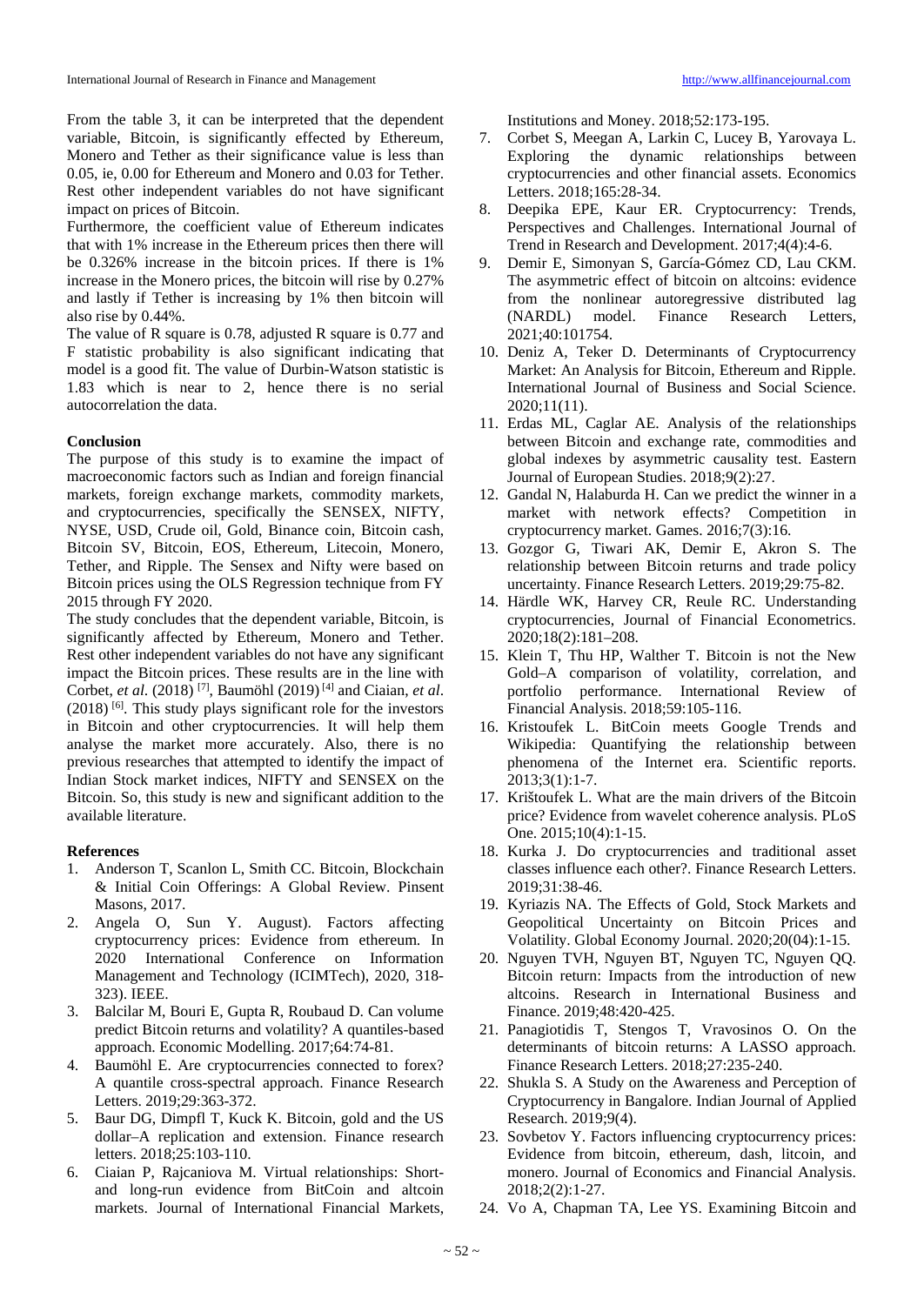From the table 3, it can be interpreted that the dependent variable, Bitcoin, is significantly effected by Ethereum, Monero and Tether as their significance value is less than 0.05, ie, 0.00 for Ethereum and Monero and 0.03 for Tether. Rest other independent variables do not have significant impact on prices of Bitcoin.

Furthermore, the coefficient value of Ethereum indicates that with 1% increase in the Ethereum prices then there will be 0.326% increase in the bitcoin prices. If there is 1% increase in the Monero prices, the bitcoin will rise by 0.27% and lastly if Tether is increasing by 1% then bitcoin will also rise by 0.44%.

The value of R square is 0.78, adjusted R square is 0.77 and F statistic probability is also significant indicating that model is a good fit. The value of Durbin-Watson statistic is 1.83 which is near to 2, hence there is no serial autocorrelation the data.

#### **Conclusion**

The purpose of this study is to examine the impact of macroeconomic factors such as Indian and foreign financial markets, foreign exchange markets, commodity markets, and cryptocurrencies, specifically the SENSEX, NIFTY, NYSE, USD, Crude oil, Gold, Binance coin, Bitcoin cash, Bitcoin SV, Bitcoin, EOS, Ethereum, Litecoin, Monero, Tether, and Ripple. The Sensex and Nifty were based on Bitcoin prices using the OLS Regression technique from FY 2015 through FY 2020.

The study concludes that the dependent variable, Bitcoin, is significantly affected by Ethereum, Monero and Tether. Rest other independent variables do not have any significant impact the Bitcoin prices. These results are in the line with Corbet, *et al*. (2018) [7], Baumöhl (2019) [4] and Ciaian, *et al*.  $(2018)$ <sup>[6]</sup>. This study plays significant role for the investors in Bitcoin and other cryptocurrencies. It will help them analyse the market more accurately. Also, there is no previous researches that attempted to identify the impact of Indian Stock market indices, NIFTY and SENSEX on the Bitcoin. So, this study is new and significant addition to the available literature.

#### **References**

- 1. Anderson T, Scanlon L, Smith CC. Bitcoin, Blockchain & Initial Coin Offerings: A Global Review. Pinsent Masons, 2017.
- 2. Angela O, Sun Y. August). Factors affecting cryptocurrency prices: Evidence from ethereum. In 2020 International Conference on Information Management and Technology (ICIMTech), 2020, 318- 323). IEEE.
- 3. Balcilar M, Bouri E, Gupta R, Roubaud D. Can volume predict Bitcoin returns and volatility? A quantiles-based approach. Economic Modelling. 2017;64:74-81.
- 4. Baumöhl E. Are cryptocurrencies connected to forex? A quantile cross-spectral approach. Finance Research Letters. 2019;29:363-372.
- 5. Baur DG, Dimpfl T, Kuck K. Bitcoin, gold and the US dollar–A replication and extension. Finance research letters. 2018;25:103-110.
- 6. Ciaian P, Rajcaniova M. Virtual relationships: Shortand long-run evidence from BitCoin and altcoin markets. Journal of International Financial Markets,

Institutions and Money. 2018;52:173-195.

- 7. Corbet S, Meegan A, Larkin C, Lucey B, Yarovaya L. Exploring the dynamic relationships between cryptocurrencies and other financial assets. Economics Letters. 2018;165:28-34.
- 8. Deepika EPE, Kaur ER. Cryptocurrency: Trends, Perspectives and Challenges. International Journal of Trend in Research and Development. 2017;4(4):4-6.
- 9. Demir E, Simonyan S, García-Gómez CD, Lau CKM. The asymmetric effect of bitcoin on altcoins: evidence from the nonlinear autoregressive distributed lag (NARDL) model. Finance Research Letters, 2021;40:101754.
- 10. Deniz A, Teker D. Determinants of Cryptocurrency Market: An Analysis for Bitcoin, Ethereum and Ripple. International Journal of Business and Social Science. 2020;11(11).
- 11. Erdas ML, Caglar AE. Analysis of the relationships between Bitcoin and exchange rate, commodities and global indexes by asymmetric causality test. Eastern Journal of European Studies. 2018;9(2):27.
- 12. Gandal N, Halaburda H. Can we predict the winner in a market with network effects? Competition in cryptocurrency market. Games. 2016;7(3):16.
- 13. Gozgor G, Tiwari AK, Demir E, Akron S. The relationship between Bitcoin returns and trade policy uncertainty. Finance Research Letters. 2019;29:75-82.
- 14. Härdle WK, Harvey CR, Reule RC. Understanding cryptocurrencies, Journal of Financial Econometrics. 2020;18(2):181–208.
- 15. Klein T, Thu HP, Walther T. Bitcoin is not the New Gold–A comparison of volatility, correlation, and portfolio performance. International Review of Financial Analysis. 2018;59:105-116.
- 16. Kristoufek L. BitCoin meets Google Trends and Wikipedia: Quantifying the relationship between phenomena of the Internet era. Scientific reports. 2013;3(1):1-7.
- 17. Krištoufek L. What are the main drivers of the Bitcoin price? Evidence from wavelet coherence analysis. PLoS One. 2015;10(4):1-15.
- 18. Kurka J. Do cryptocurrencies and traditional asset classes influence each other?. Finance Research Letters. 2019;31:38-46.
- 19. Kyriazis NA. The Effects of Gold, Stock Markets and Geopolitical Uncertainty on Bitcoin Prices and Volatility. Global Economy Journal. 2020;20(04):1-15.
- 20. Nguyen TVH, Nguyen BT, Nguyen TC, Nguyen QQ. Bitcoin return: Impacts from the introduction of new altcoins. Research in International Business and Finance. 2019;48:420-425.
- 21. Panagiotidis T, Stengos T, Vravosinos O. On the determinants of bitcoin returns: A LASSO approach. Finance Research Letters. 2018;27:235-240.
- 22. Shukla S. A Study on the Awareness and Perception of Cryptocurrency in Bangalore. Indian Journal of Applied Research. 2019;9(4).
- 23. Sovbetov Y. Factors influencing cryptocurrency prices: Evidence from bitcoin, ethereum, dash, litcoin, and monero. Journal of Economics and Financial Analysis. 2018;2(2):1-27.
- 24. Vo A, Chapman TA, Lee YS. Examining Bitcoin and